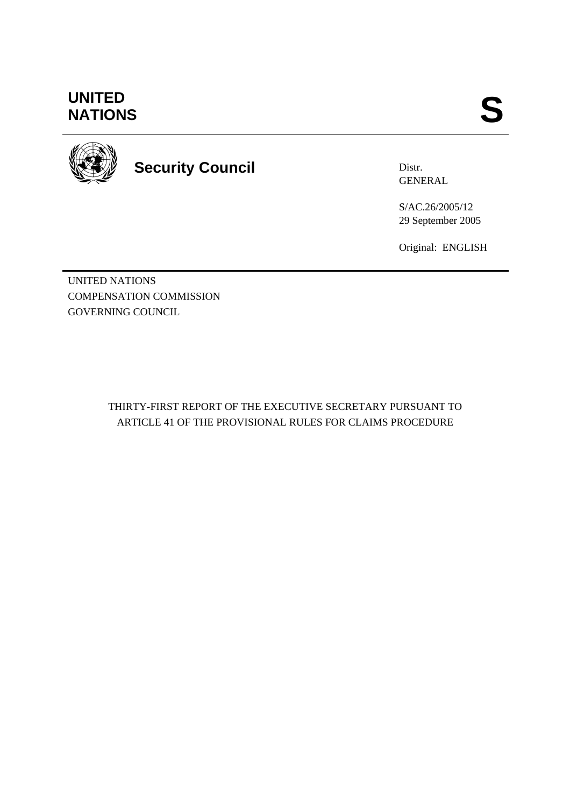## **UNITED<br>NATIONS** UNITED<br>NATIONS **S**



# **Security Council**

Distr. GENERAL

S/AC.26/2005/12 29 September 2005

Original: ENGLISH

UNITED NATIONS COMPENSATION COMMISSION GOVERNING COUNCIL

> THIRTY-FIRST REPORT OF THE EXECUTIVE SECRETARY PURSUANT TO ARTICLE 41 OF THE PROVISIONAL RULES FOR CLAIMS PROCEDURE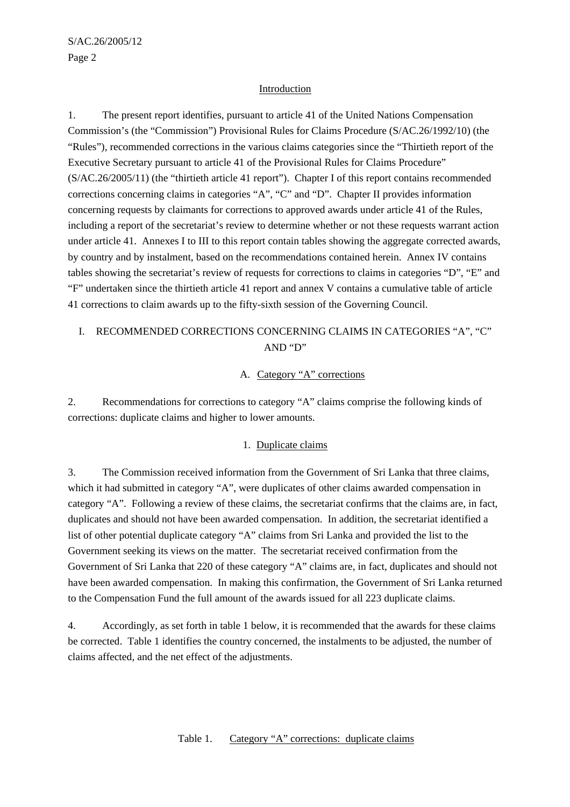#### Introduction

1. The present report identifies, pursuant to article 41 of the United Nations Compensation Commission's (the "Commission") Provisional Rules for Claims Procedure (S/AC.26/1992/10) (the "Rules"), recommended corrections in the various claims categories since the "Thirtieth report of the Executive Secretary pursuant to article 41 of the Provisional Rules for Claims Procedure" (S/AC.26/2005/11) (the "thirtieth article 41 report"). Chapter I of this report contains recommended corrections concerning claims in categories "A", "C" and "D". Chapter II provides information concerning requests by claimants for corrections to approved awards under article 41 of the Rules, including a report of the secretariat's review to determine whether or not these requests warrant action under article 41. Annexes I to III to this report contain tables showing the aggregate corrected awards, by country and by instalment, based on the recommendations contained herein. Annex IV contains tables showing the secretariat's review of requests for corrections to claims in categories "D", "E" and "F" undertaken since the thirtieth article 41 report and annex V contains a cumulative table of article 41 corrections to claim awards up to the fifty-sixth session of the Governing Council.

## I. RECOMMENDED CORRECTIONS CONCERNING CLAIMS IN CATEGORIES "A", "C" AND "D"

#### A. Category "A" corrections

2. Recommendations for corrections to category "A" claims comprise the following kinds of corrections: duplicate claims and higher to lower amounts.

#### 1. Duplicate claims

3. The Commission received information from the Government of Sri Lanka that three claims, which it had submitted in category "A", were duplicates of other claims awarded compensation in category "A". Following a review of these claims, the secretariat confirms that the claims are, in fact, duplicates and should not have been awarded compensation. In addition, the secretariat identified a list of other potential duplicate category "A" claims from Sri Lanka and provided the list to the Government seeking its views on the matter. The secretariat received confirmation from the Government of Sri Lanka that 220 of these category "A" claims are, in fact, duplicates and should not have been awarded compensation. In making this confirmation, the Government of Sri Lanka returned to the Compensation Fund the full amount of the awards issued for all 223 duplicate claims.

4. Accordingly, as set forth in table 1 below, it is recommended that the awards for these claims be corrected. Table 1 identifies the country concerned, the instalments to be adjusted, the number of claims affected, and the net effect of the adjustments.

Table 1. Category "A" corrections: duplicate claims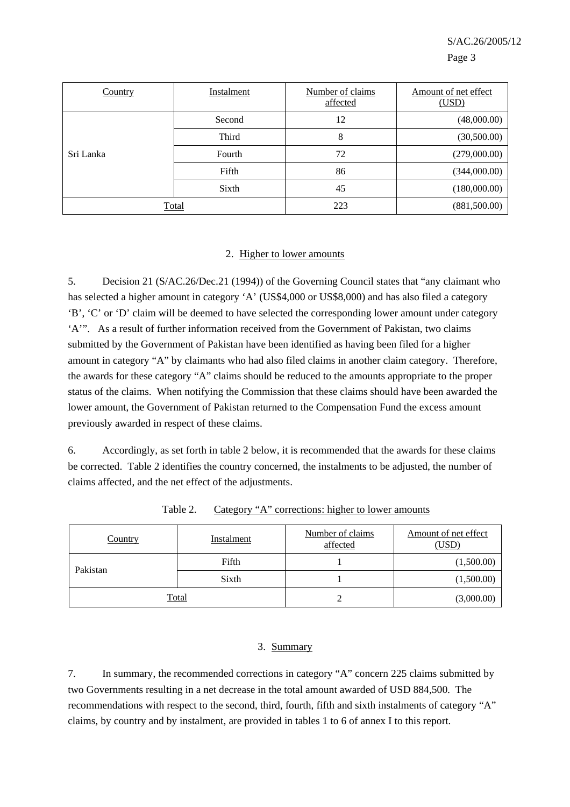| Country   | Instalment | Number of claims<br>affected | Amount of net effect<br>(USD) |
|-----------|------------|------------------------------|-------------------------------|
|           | Second     | 12                           | (48,000.00)                   |
| Sri Lanka | Third      | 8                            | (30,500.00)                   |
|           | Fourth     | 72                           | (279,000.00)                  |
|           | Fifth      | 86                           | (344,000.00)                  |
|           | Sixth      | 45                           | (180,000.00)                  |
| Total     |            | 223                          | (881,500.00)                  |

#### 2. Higher to lower amounts

5. Decision 21 (S/AC.26/Dec.21 (1994)) of the Governing Council states that "any claimant who has selected a higher amount in category 'A' (US\$4,000 or US\$8,000) and has also filed a category 'B', 'C' or 'D' claim will be deemed to have selected the corresponding lower amount under category 'A'". As a result of further information received from the Government of Pakistan, two claims submitted by the Government of Pakistan have been identified as having been filed for a higher amount in category "A" by claimants who had also filed claims in another claim category. Therefore, the awards for these category "A" claims should be reduced to the amounts appropriate to the proper status of the claims. When notifying the Commission that these claims should have been awarded the lower amount, the Government of Pakistan returned to the Compensation Fund the excess amount previously awarded in respect of these claims.

6. Accordingly, as set forth in table 2 below, it is recommended that the awards for these claims be corrected. Table 2 identifies the country concerned, the instalments to be adjusted, the number of claims affected, and the net effect of the adjustments.

| <b>Country</b> | <b>Instalment</b> | Number of claims<br>affected | Amount of net effect<br>(USD) |
|----------------|-------------------|------------------------------|-------------------------------|
| Pakistan       | Fifth             |                              | (1,500.00)                    |
|                | Sixth             |                              | (1,500.00)                    |
|                | <b>Total</b>      |                              | (3,000.00)                    |

Table 2. Category "A" corrections: higher to lower amounts

#### 3. Summary

7. In summary, the recommended corrections in category "A" concern 225 claims submitted by two Governments resulting in a net decrease in the total amount awarded of USD 884,500. The recommendations with respect to the second, third, fourth, fifth and sixth instalments of category "A" claims, by country and by instalment, are provided in tables 1 to 6 of annex I to this report.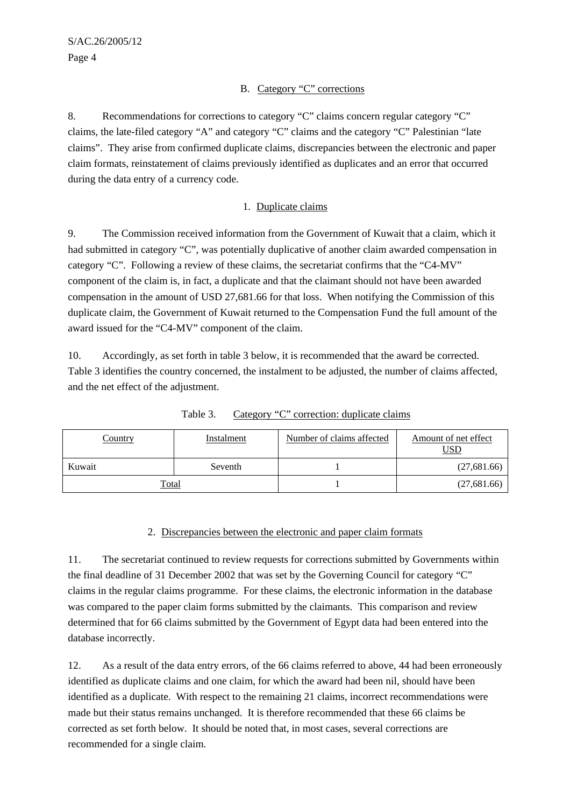#### B. Category "C" corrections

8. Recommendations for corrections to category "C" claims concern regular category "C" claims, the late-filed category "A" and category "C" claims and the category "C" Palestinian "late claims". They arise from confirmed duplicate claims, discrepancies between the electronic and paper claim formats, reinstatement of claims previously identified as duplicates and an error that occurred during the data entry of a currency code.

#### 1. Duplicate claims

9. The Commission received information from the Government of Kuwait that a claim, which it had submitted in category "C", was potentially duplicative of another claim awarded compensation in category "C". Following a review of these claims, the secretariat confirms that the "C4-MV" component of the claim is, in fact, a duplicate and that the claimant should not have been awarded compensation in the amount of USD 27,681.66 for that loss. When notifying the Commission of this duplicate claim, the Government of Kuwait returned to the Compensation Fund the full amount of the award issued for the "C4-MV" component of the claim.

10. Accordingly, as set forth in table 3 below, it is recommended that the award be corrected. Table 3 identifies the country concerned, the instalment to be adjusted, the number of claims affected, and the net effect of the adjustment.

| Country      | Instalment | Number of claims affected | Amount of net effect<br><u>USD</u> |
|--------------|------------|---------------------------|------------------------------------|
| Kuwait       | Seventh    |                           | (27,681.66)                        |
| <b>Total</b> |            |                           | (27,681.66)                        |

Table 3. Category "C" correction: duplicate claims

#### 2. Discrepancies between the electronic and paper claim formats

11. The secretariat continued to review requests for corrections submitted by Governments within the final deadline of 31 December 2002 that was set by the Governing Council for category "C" claims in the regular claims programme. For these claims, the electronic information in the database was compared to the paper claim forms submitted by the claimants. This comparison and review determined that for 66 claims submitted by the Government of Egypt data had been entered into the database incorrectly.

12. As a result of the data entry errors, of the 66 claims referred to above, 44 had been erroneously identified as duplicate claims and one claim, for which the award had been nil, should have been identified as a duplicate. With respect to the remaining 21 claims, incorrect recommendations were made but their status remains unchanged. It is therefore recommended that these 66 claims be corrected as set forth below. It should be noted that, in most cases, several corrections are recommended for a single claim.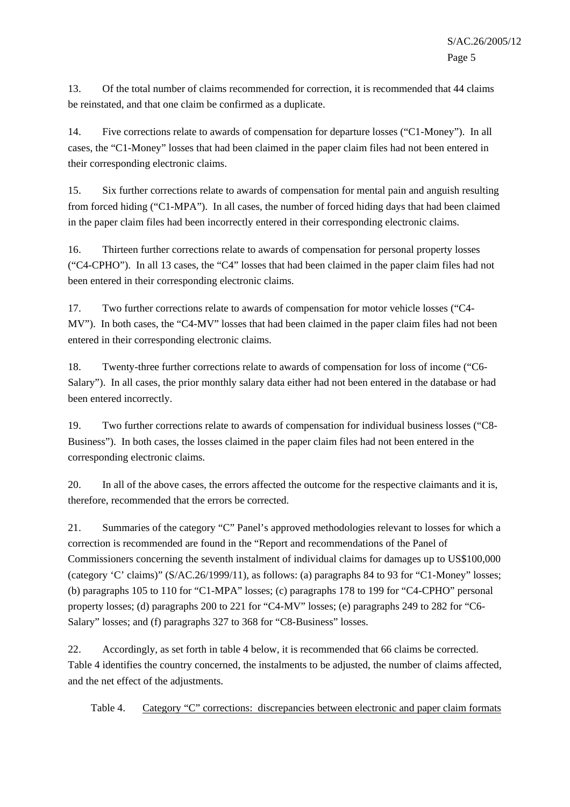13. Of the total number of claims recommended for correction, it is recommended that 44 claims be reinstated, and that one claim be confirmed as a duplicate.

14. Five corrections relate to awards of compensation for departure losses ("C1-Money"). In all cases, the "C1-Money" losses that had been claimed in the paper claim files had not been entered in their corresponding electronic claims.

15. Six further corrections relate to awards of compensation for mental pain and anguish resulting from forced hiding ("C1-MPA"). In all cases, the number of forced hiding days that had been claimed in the paper claim files had been incorrectly entered in their corresponding electronic claims.

16. Thirteen further corrections relate to awards of compensation for personal property losses ("C4-CPHO"). In all 13 cases, the "C4" losses that had been claimed in the paper claim files had not been entered in their corresponding electronic claims.

17. Two further corrections relate to awards of compensation for motor vehicle losses ("C4- MV"). In both cases, the "C4-MV" losses that had been claimed in the paper claim files had not been entered in their corresponding electronic claims.

18. Twenty-three further corrections relate to awards of compensation for loss of income ("C6- Salary"). In all cases, the prior monthly salary data either had not been entered in the database or had been entered incorrectly.

19. Two further corrections relate to awards of compensation for individual business losses ("C8- Business"). In both cases, the losses claimed in the paper claim files had not been entered in the corresponding electronic claims.

20. In all of the above cases, the errors affected the outcome for the respective claimants and it is, therefore, recommended that the errors be corrected.

21. Summaries of the category "C" Panel's approved methodologies relevant to losses for which a correction is recommended are found in the "Report and recommendations of the Panel of Commissioners concerning the seventh instalment of individual claims for damages up to US\$100,000 (category 'C' claims)" (S/AC.26/1999/11), as follows: (a) paragraphs 84 to 93 for "C1-Money" losses; (b) paragraphs 105 to 110 for "C1-MPA" losses; (c) paragraphs 178 to 199 for "C4-CPHO" personal property losses; (d) paragraphs 200 to 221 for "C4-MV" losses; (e) paragraphs 249 to 282 for "C6- Salary" losses; and (f) paragraphs 327 to 368 for "C8-Business" losses.

22. Accordingly, as set forth in table 4 below, it is recommended that 66 claims be corrected. Table 4 identifies the country concerned, the instalments to be adjusted, the number of claims affected, and the net effect of the adjustments.

Table 4. Category "C" corrections: discrepancies between electronic and paper claim formats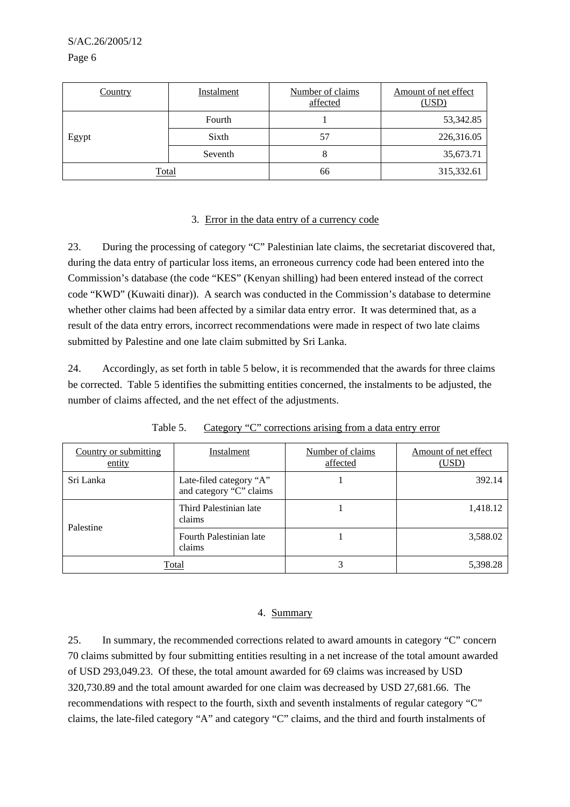S/AC.26/2005/12

Page 6

| <b>Country</b> | Instalment | Number of claims<br>affected | Amount of net effect<br>(USD) |
|----------------|------------|------------------------------|-------------------------------|
|                | Fourth     |                              | 53,342.85                     |
| Egypt          | Sixth      | 57                           | 226,316.05                    |
|                | Seventh    | 8                            | 35,673.71                     |
| <b>Total</b>   |            | 66                           | 315,332.61                    |

#### 3. Error in the data entry of a currency code

23. During the processing of category "C" Palestinian late claims, the secretariat discovered that, during the data entry of particular loss items, an erroneous currency code had been entered into the Commission's database (the code "KES" (Kenyan shilling) had been entered instead of the correct code "KWD" (Kuwaiti dinar)). A search was conducted in the Commission's database to determine whether other claims had been affected by a similar data entry error. It was determined that, as a result of the data entry errors, incorrect recommendations were made in respect of two late claims submitted by Palestine and one late claim submitted by Sri Lanka.

24. Accordingly, as set forth in table 5 below, it is recommended that the awards for three claims be corrected. Table 5 identifies the submitting entities concerned, the instalments to be adjusted, the number of claims affected, and the net effect of the adjustments.

| Country or submitting<br>entity | Instalment                                         | Number of claims<br>affected | Amount of net effect<br>(USD) |
|---------------------------------|----------------------------------------------------|------------------------------|-------------------------------|
| Sri Lanka                       | Late-filed category "A"<br>and category "C" claims |                              | 392.14                        |
| Palestine                       | Third Palestinian late<br>claims                   |                              | 1,418.12                      |
|                                 | Fourth Palestinian late<br>claims                  |                              | 3,588.02                      |
|                                 | Total                                              | 3                            | 5,398.28                      |

Table 5. Category "C" corrections arising from a data entry error

#### 4. Summary

25. In summary, the recommended corrections related to award amounts in category "C" concern 70 claims submitted by four submitting entities resulting in a net increase of the total amount awarded of USD 293,049.23. Of these, the total amount awarded for 69 claims was increased by USD 320,730.89 and the total amount awarded for one claim was decreased by USD 27,681.66. The recommendations with respect to the fourth, sixth and seventh instalments of regular category "C" claims, the late-filed category "A" and category "C" claims, and the third and fourth instalments of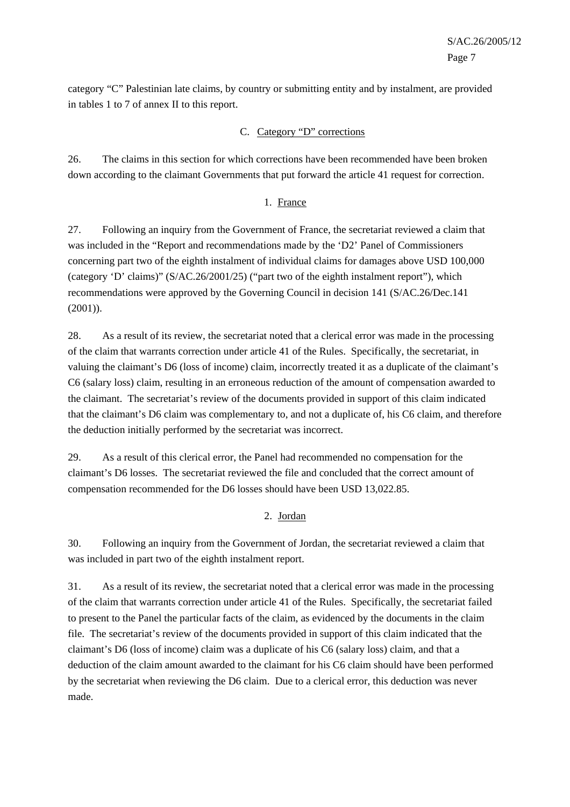category "C" Palestinian late claims, by country or submitting entity and by instalment, are provided in tables 1 to 7 of annex II to this report.

## C. Category "D" corrections

26. The claims in this section for which corrections have been recommended have been broken down according to the claimant Governments that put forward the article 41 request for correction.

#### 1. France

27. Following an inquiry from the Government of France, the secretariat reviewed a claim that was included in the "Report and recommendations made by the 'D2' Panel of Commissioners concerning part two of the eighth instalment of individual claims for damages above USD 100,000 (category 'D' claims)" (S/AC.26/2001/25) ("part two of the eighth instalment report"), which recommendations were approved by the Governing Council in decision 141 (S/AC.26/Dec.141 (2001)).

28. As a result of its review, the secretariat noted that a clerical error was made in the processing of the claim that warrants correction under article 41 of the Rules. Specifically, the secretariat, in valuing the claimant's D6 (loss of income) claim, incorrectly treated it as a duplicate of the claimant's C6 (salary loss) claim, resulting in an erroneous reduction of the amount of compensation awarded to the claimant. The secretariat's review of the documents provided in support of this claim indicated that the claimant's D6 claim was complementary to, and not a duplicate of, his C6 claim, and therefore the deduction initially performed by the secretariat was incorrect.

29. As a result of this clerical error, the Panel had recommended no compensation for the claimant's D6 losses. The secretariat reviewed the file and concluded that the correct amount of compensation recommended for the D6 losses should have been USD 13,022.85.

#### 2. Jordan

30. Following an inquiry from the Government of Jordan, the secretariat reviewed a claim that was included in part two of the eighth instalment report.

31. As a result of its review, the secretariat noted that a clerical error was made in the processing of the claim that warrants correction under article 41 of the Rules. Specifically, the secretariat failed to present to the Panel the particular facts of the claim, as evidenced by the documents in the claim file. The secretariat's review of the documents provided in support of this claim indicated that the claimant's D6 (loss of income) claim was a duplicate of his C6 (salary loss) claim, and that a deduction of the claim amount awarded to the claimant for his C6 claim should have been performed by the secretariat when reviewing the D6 claim. Due to a clerical error, this deduction was never made.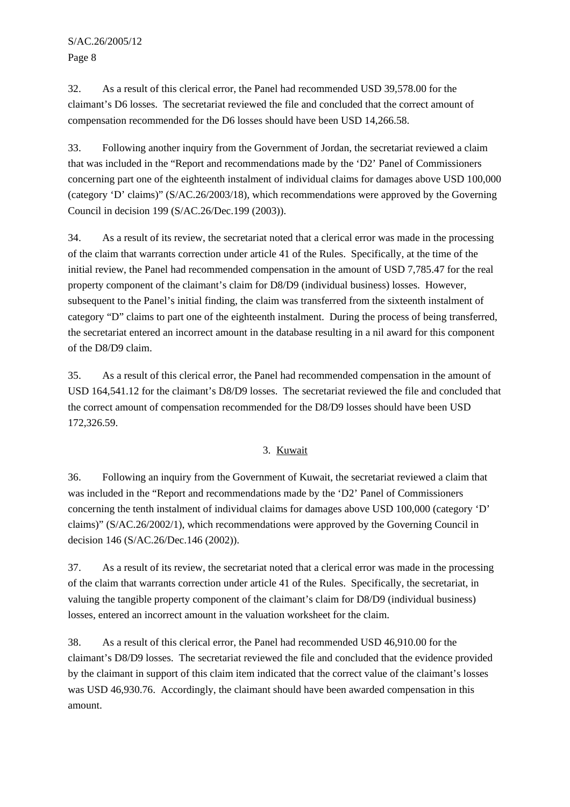Page 8

32. As a result of this clerical error, the Panel had recommended USD 39,578.00 for the claimant's D6 losses. The secretariat reviewed the file and concluded that the correct amount of compensation recommended for the D6 losses should have been USD 14,266.58.

33. Following another inquiry from the Government of Jordan, the secretariat reviewed a claim that was included in the "Report and recommendations made by the 'D2' Panel of Commissioners concerning part one of the eighteenth instalment of individual claims for damages above USD 100,000 (category 'D' claims)" (S/AC.26/2003/18), which recommendations were approved by the Governing Council in decision 199 (S/AC.26/Dec.199 (2003)).

34. As a result of its review, the secretariat noted that a clerical error was made in the processing of the claim that warrants correction under article 41 of the Rules. Specifically, at the time of the initial review, the Panel had recommended compensation in the amount of USD 7,785.47 for the real property component of the claimant's claim for D8/D9 (individual business) losses. However, subsequent to the Panel's initial finding, the claim was transferred from the sixteenth instalment of category "D" claims to part one of the eighteenth instalment. During the process of being transferred, the secretariat entered an incorrect amount in the database resulting in a nil award for this component of the D8/D9 claim.

35. As a result of this clerical error, the Panel had recommended compensation in the amount of USD 164,541.12 for the claimant's D8/D9 losses. The secretariat reviewed the file and concluded that the correct amount of compensation recommended for the D8/D9 losses should have been USD 172,326.59.

#### 3. Kuwait

36. Following an inquiry from the Government of Kuwait, the secretariat reviewed a claim that was included in the "Report and recommendations made by the 'D2' Panel of Commissioners concerning the tenth instalment of individual claims for damages above USD 100,000 (category 'D' claims)" (S/AC.26/2002/1), which recommendations were approved by the Governing Council in decision 146 (S/AC.26/Dec.146 (2002)).

37. As a result of its review, the secretariat noted that a clerical error was made in the processing of the claim that warrants correction under article 41 of the Rules. Specifically, the secretariat, in valuing the tangible property component of the claimant's claim for D8/D9 (individual business) losses, entered an incorrect amount in the valuation worksheet for the claim.

38. As a result of this clerical error, the Panel had recommended USD 46,910.00 for the claimant's D8/D9 losses. The secretariat reviewed the file and concluded that the evidence provided by the claimant in support of this claim item indicated that the correct value of the claimant's losses was USD 46,930.76. Accordingly, the claimant should have been awarded compensation in this amount.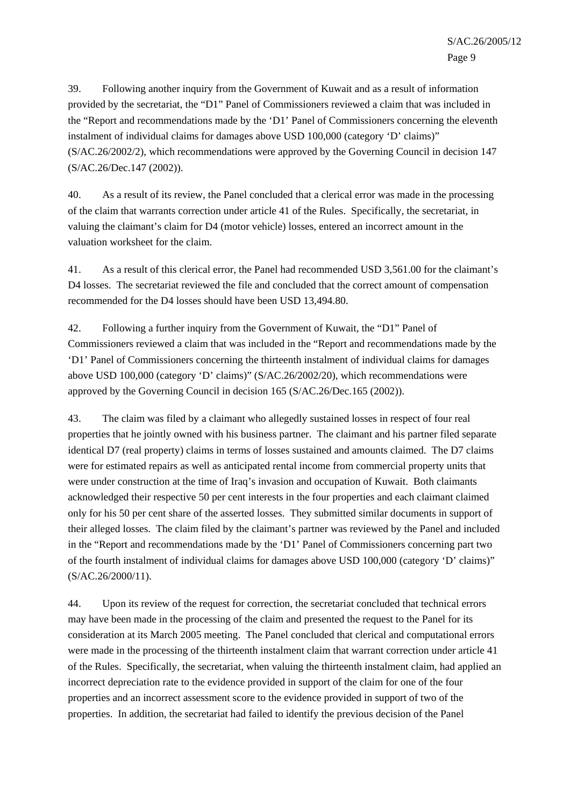39. Following another inquiry from the Government of Kuwait and as a result of information provided by the secretariat, the "D1" Panel of Commissioners reviewed a claim that was included in the "Report and recommendations made by the 'D1' Panel of Commissioners concerning the eleventh instalment of individual claims for damages above USD 100,000 (category 'D' claims)" (S/AC.26/2002/2), which recommendations were approved by the Governing Council in decision 147 (S/AC.26/Dec.147 (2002)).

40. As a result of its review, the Panel concluded that a clerical error was made in the processing of the claim that warrants correction under article 41 of the Rules. Specifically, the secretariat, in valuing the claimant's claim for D4 (motor vehicle) losses, entered an incorrect amount in the valuation worksheet for the claim.

41. As a result of this clerical error, the Panel had recommended USD 3,561.00 for the claimant's D4 losses. The secretariat reviewed the file and concluded that the correct amount of compensation recommended for the D4 losses should have been USD 13,494.80.

42. Following a further inquiry from the Government of Kuwait, the "D1" Panel of Commissioners reviewed a claim that was included in the "Report and recommendations made by the 'D1' Panel of Commissioners concerning the thirteenth instalment of individual claims for damages above USD 100,000 (category 'D' claims)" (S/AC.26/2002/20), which recommendations were approved by the Governing Council in decision 165 (S/AC.26/Dec.165 (2002)).

43. The claim was filed by a claimant who allegedly sustained losses in respect of four real properties that he jointly owned with his business partner. The claimant and his partner filed separate identical D7 (real property) claims in terms of losses sustained and amounts claimed. The D7 claims were for estimated repairs as well as anticipated rental income from commercial property units that were under construction at the time of Iraq's invasion and occupation of Kuwait. Both claimants acknowledged their respective 50 per cent interests in the four properties and each claimant claimed only for his 50 per cent share of the asserted losses. They submitted similar documents in support of their alleged losses. The claim filed by the claimant's partner was reviewed by the Panel and included in the "Report and recommendations made by the 'D1' Panel of Commissioners concerning part two of the fourth instalment of individual claims for damages above USD 100,000 (category 'D' claims)" (S/AC.26/2000/11).

44. Upon its review of the request for correction, the secretariat concluded that technical errors may have been made in the processing of the claim and presented the request to the Panel for its consideration at its March 2005 meeting. The Panel concluded that clerical and computational errors were made in the processing of the thirteenth instalment claim that warrant correction under article 41 of the Rules. Specifically, the secretariat, when valuing the thirteenth instalment claim, had applied an incorrect depreciation rate to the evidence provided in support of the claim for one of the four properties and an incorrect assessment score to the evidence provided in support of two of the properties. In addition, the secretariat had failed to identify the previous decision of the Panel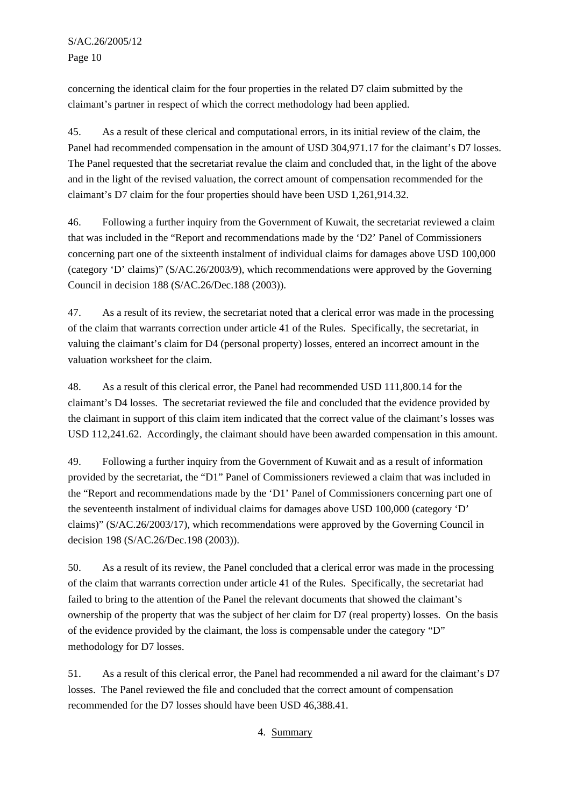concerning the identical claim for the four properties in the related D7 claim submitted by the claimant's partner in respect of which the correct methodology had been applied.

45. As a result of these clerical and computational errors, in its initial review of the claim, the Panel had recommended compensation in the amount of USD 304,971.17 for the claimant's D7 losses. The Panel requested that the secretariat revalue the claim and concluded that, in the light of the above and in the light of the revised valuation, the correct amount of compensation recommended for the claimant's D7 claim for the four properties should have been USD 1,261,914.32.

46. Following a further inquiry from the Government of Kuwait, the secretariat reviewed a claim that was included in the "Report and recommendations made by the 'D2' Panel of Commissioners concerning part one of the sixteenth instalment of individual claims for damages above USD 100,000 (category 'D' claims)" (S/AC.26/2003/9), which recommendations were approved by the Governing Council in decision 188 (S/AC.26/Dec.188 (2003)).

47. As a result of its review, the secretariat noted that a clerical error was made in the processing of the claim that warrants correction under article 41 of the Rules. Specifically, the secretariat, in valuing the claimant's claim for D4 (personal property) losses, entered an incorrect amount in the valuation worksheet for the claim.

48. As a result of this clerical error, the Panel had recommended USD 111,800.14 for the claimant's D4 losses. The secretariat reviewed the file and concluded that the evidence provided by the claimant in support of this claim item indicated that the correct value of the claimant's losses was USD 112,241.62. Accordingly, the claimant should have been awarded compensation in this amount.

49. Following a further inquiry from the Government of Kuwait and as a result of information provided by the secretariat, the "D1" Panel of Commissioners reviewed a claim that was included in the "Report and recommendations made by the 'D1' Panel of Commissioners concerning part one of the seventeenth instalment of individual claims for damages above USD 100,000 (category 'D' claims)" (S/AC.26/2003/17), which recommendations were approved by the Governing Council in decision 198 (S/AC.26/Dec.198 (2003)).

50. As a result of its review, the Panel concluded that a clerical error was made in the processing of the claim that warrants correction under article 41 of the Rules. Specifically, the secretariat had failed to bring to the attention of the Panel the relevant documents that showed the claimant's ownership of the property that was the subject of her claim for D7 (real property) losses. On the basis of the evidence provided by the claimant, the loss is compensable under the category "D" methodology for D7 losses.

51. As a result of this clerical error, the Panel had recommended a nil award for the claimant's D7 losses. The Panel reviewed the file and concluded that the correct amount of compensation recommended for the D7 losses should have been USD 46,388.41.

4. Summary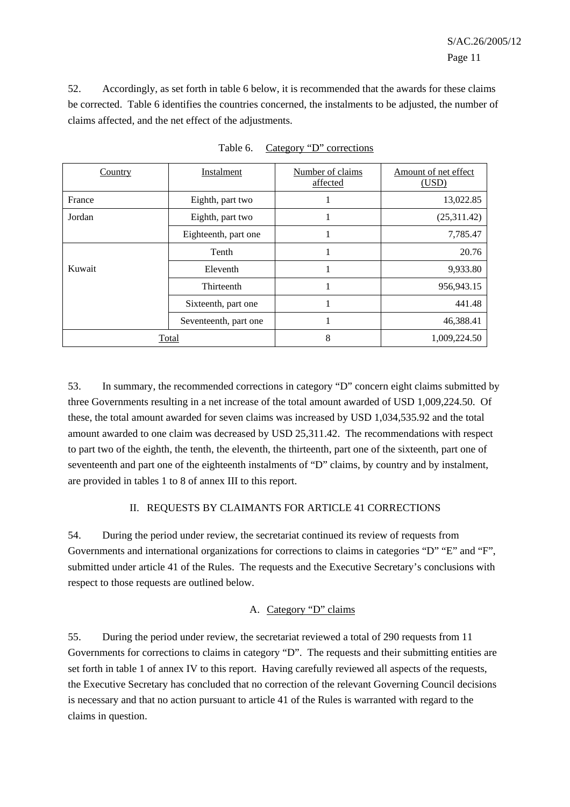52. Accordingly, as set forth in table 6 below, it is recommended that the awards for these claims be corrected. Table 6 identifies the countries concerned, the instalments to be adjusted, the number of claims affected, and the net effect of the adjustments.

| Country | Instalment            | Number of claims<br>affected | Amount of net effect<br>(USD) |
|---------|-----------------------|------------------------------|-------------------------------|
| France  | Eighth, part two      |                              | 13,022.85                     |
| Jordan  | Eighth, part two      | -1                           | (25,311.42)                   |
|         | Eighteenth, part one  |                              | 7,785.47                      |
|         | Tenth                 | -1                           | 20.76                         |
| Kuwait  | Eleventh              |                              | 9,933.80                      |
|         | Thirteenth            | -1                           | 956,943.15                    |
|         | Sixteenth, part one   |                              | 441.48                        |
|         | Seventeenth, part one | -1                           | 46,388.41                     |
|         | Total                 | 8                            | 1,009,224.50                  |

Table 6. Category "D" corrections

53. In summary, the recommended corrections in category "D" concern eight claims submitted by three Governments resulting in a net increase of the total amount awarded of USD 1,009,224.50. Of these, the total amount awarded for seven claims was increased by USD 1,034,535.92 and the total amount awarded to one claim was decreased by USD 25,311.42. The recommendations with respect to part two of the eighth, the tenth, the eleventh, the thirteenth, part one of the sixteenth, part one of seventeenth and part one of the eighteenth instalments of "D" claims, by country and by instalment, are provided in tables 1 to 8 of annex III to this report.

#### II. REQUESTS BY CLAIMANTS FOR ARTICLE 41 CORRECTIONS

54. During the period under review, the secretariat continued its review of requests from Governments and international organizations for corrections to claims in categories "D" "E" and "F", submitted under article 41 of the Rules. The requests and the Executive Secretary's conclusions with respect to those requests are outlined below.

#### A. Category "D" claims

55. During the period under review, the secretariat reviewed a total of 290 requests from 11 Governments for corrections to claims in category "D". The requests and their submitting entities are set forth in table 1 of annex IV to this report. Having carefully reviewed all aspects of the requests, the Executive Secretary has concluded that no correction of the relevant Governing Council decisions is necessary and that no action pursuant to article 41 of the Rules is warranted with regard to the claims in question.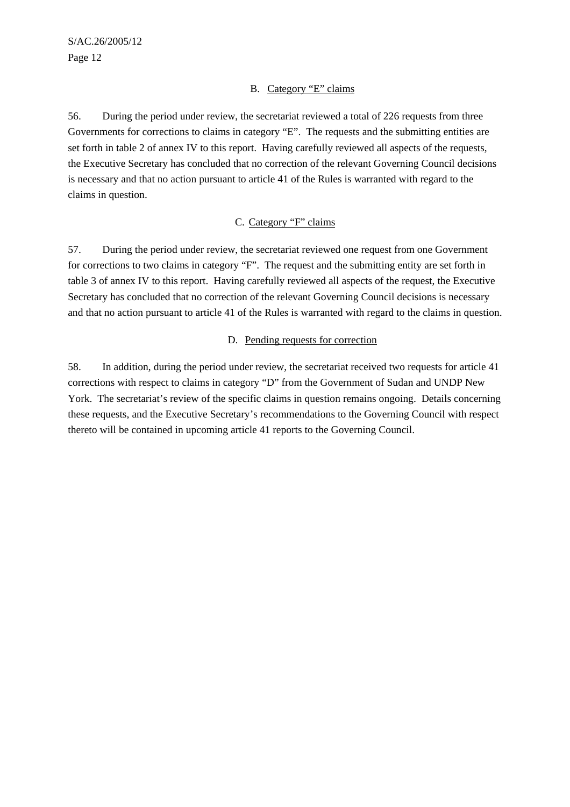#### B. Category "E" claims

56. During the period under review, the secretariat reviewed a total of 226 requests from three Governments for corrections to claims in category "E". The requests and the submitting entities are set forth in table 2 of annex IV to this report. Having carefully reviewed all aspects of the requests, the Executive Secretary has concluded that no correction of the relevant Governing Council decisions is necessary and that no action pursuant to article 41 of the Rules is warranted with regard to the claims in question.

#### C. Category "F" claims

57. During the period under review, the secretariat reviewed one request from one Government for corrections to two claims in category "F". The request and the submitting entity are set forth in table 3 of annex IV to this report. Having carefully reviewed all aspects of the request, the Executive Secretary has concluded that no correction of the relevant Governing Council decisions is necessary and that no action pursuant to article 41 of the Rules is warranted with regard to the claims in question.

#### D. Pending requests for correction

58. In addition, during the period under review, the secretariat received two requests for article 41 corrections with respect to claims in category "D" from the Government of Sudan and UNDP New York. The secretariat's review of the specific claims in question remains ongoing. Details concerning these requests, and the Executive Secretary's recommendations to the Governing Council with respect thereto will be contained in upcoming article 41 reports to the Governing Council.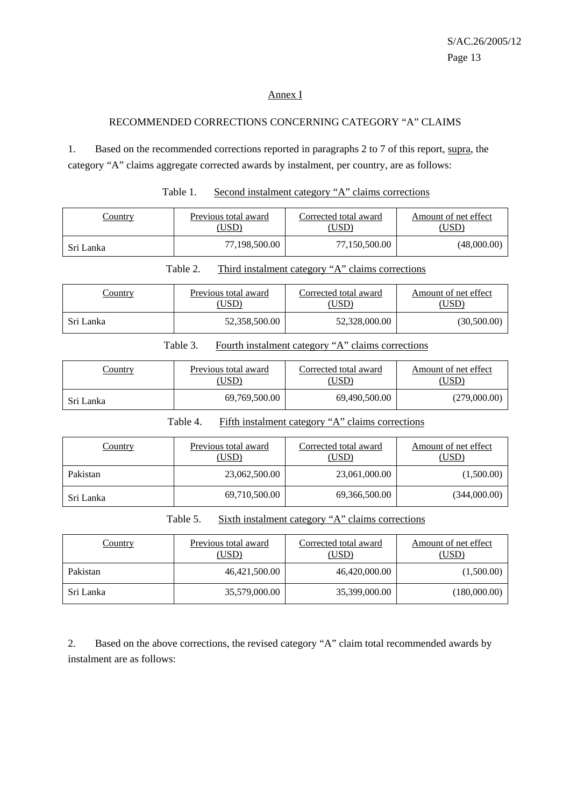#### Annex I

#### RECOMMENDED CORRECTIONS CONCERNING CATEGORY "A" CLAIMS

1. Based on the recommended corrections reported in paragraphs 2 to 7 of this report, supra, the category "A" claims aggregate corrected awards by instalment, per country, are as follows:

| <b>Country</b> | Previous total award | Corrected total award | Amount of net effect |
|----------------|----------------------|-----------------------|----------------------|
|                | USD).                | USD)                  | USD)                 |
| Sri Lanka      | 77,198,500.00        | 77,150,500.00         | (48,000.00)          |

Table 1. Second instalment category "A" claims corrections

Table 2. Third instalment category "A" claims corrections

| <u>Country</u> | Previous total award<br>(USD | Corrected total award<br>,USD <sup>)</sup> | Amount of net effect<br>USD) |
|----------------|------------------------------|--------------------------------------------|------------------------------|
| Sri Lanka      | 52,358,500.00                | 52,328,000.00                              | (30,500.00)                  |

| Table 3. | Fourth instalment category "A" claims corrections |  |  |
|----------|---------------------------------------------------|--|--|
|          |                                                   |  |  |

| <u>Country</u> | Previous total award | Corrected total award | Amount of net effect |
|----------------|----------------------|-----------------------|----------------------|
|                | USD)                 | USD)                  | USD)                 |
| Sri Lanka      | 69,769,500.00        | 69.490.500.00         | (279,000.00)         |

Table 4. Fifth instalment category "A" claims corrections

| Country   | Previous total award<br>(USD) | Corrected total award<br>(USD) | Amount of net effect<br>(USD) |
|-----------|-------------------------------|--------------------------------|-------------------------------|
| Pakistan  | 23,062,500.00                 | 23,061,000.00                  | (1,500.00)                    |
| Sri Lanka | 69,710,500.00                 | 69,366,500.00                  | (344,000.00)                  |

Table 5. Sixth instalment category "A" claims corrections

| <b>Country</b> | Previous total award<br>(USD) | Corrected total award<br>(USD) | Amount of net effect<br>(USD) |
|----------------|-------------------------------|--------------------------------|-------------------------------|
| Pakistan       | 46,421,500.00                 | 46.420,000.00                  | (1,500.00)                    |
| Sri Lanka      | 35,579,000.00                 | 35,399,000.00                  | (180,000.00)                  |

2. Based on the above corrections, the revised category "A" claim total recommended awards by instalment are as follows: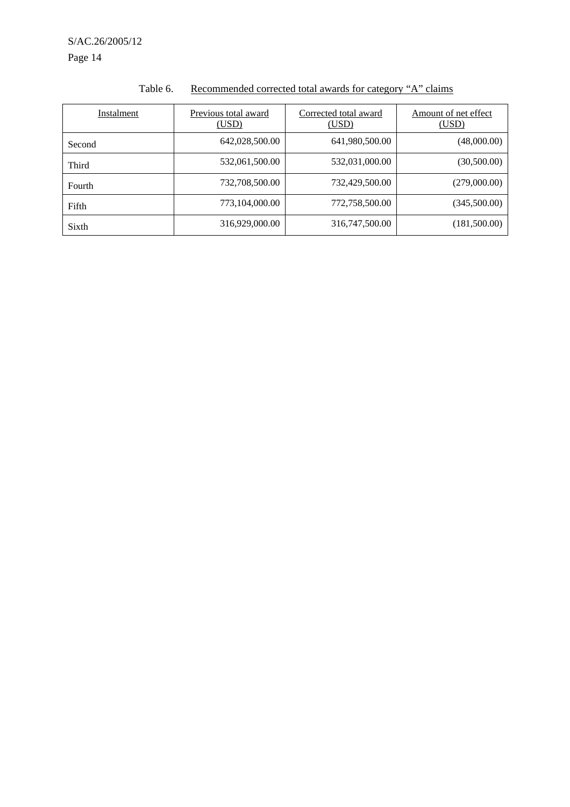Page 14

| Instalment | Previous total award<br>(USD) | Corrected total award<br>(USD) | Amount of net effect<br>(USD) |
|------------|-------------------------------|--------------------------------|-------------------------------|
| Second     | 642,028,500.00                | 641,980,500.00                 | (48,000.00)                   |
| Third      | 532,061,500.00                | 532,031,000.00                 | (30,500.00)                   |
| Fourth     | 732,708,500.00                | 732,429,500.00                 | (279,000.00)                  |
| Fifth      | 773,104,000.00                | 772,758,500.00                 | (345,500.00)                  |
| Sixth      | 316,929,000.00                | 316,747,500.00                 | (181,500.00)                  |

## Table 6. Recommended corrected total awards for category "A" claims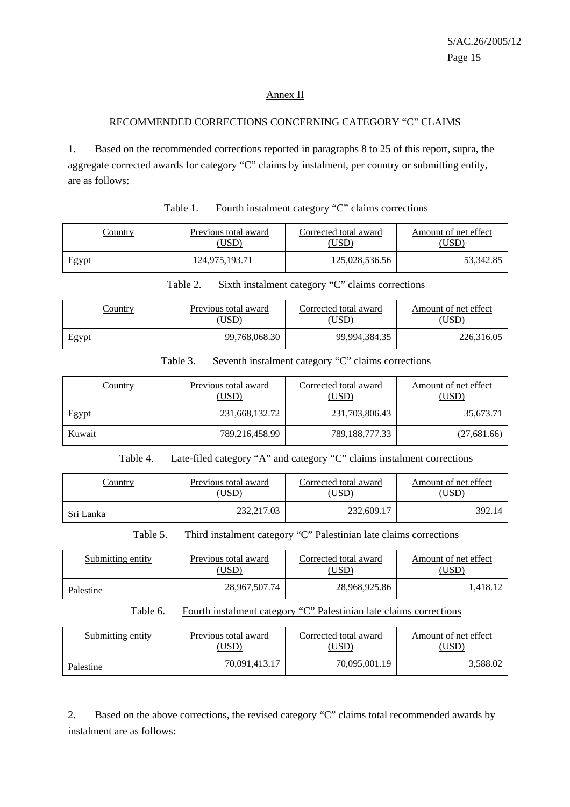#### Annex II

#### RECOMMENDED CORRECTIONS CONCERNING CATEGORY "C" CLAIMS

1. Based on the recommended corrections reported in paragraphs 8 to 25 of this report, supra, the aggregate corrected awards for category "C" claims by instalment, per country or submitting entity, are as follows:

| Table 1. | Fourth instalment category "C" claims corrections |  |  |
|----------|---------------------------------------------------|--|--|
|          |                                                   |  |  |

| <u>Country</u> | Previous total award | Corrected total award | Amount of net effect |
|----------------|----------------------|-----------------------|----------------------|
|                | USD)                 | USD <sup>)</sup>      | USD                  |
| Egypt          | 124,975,193.71       | 125,028,536.56        | 53.342.85            |

| Table 2. | Sixth instalment category "C" claims corrections |
|----------|--------------------------------------------------|
|          |                                                  |

| <u>Country</u> | Previous total award | Corrected total award | Amount of net effect |
|----------------|----------------------|-----------------------|----------------------|
|                | (USD)                | USD)                  | (USD)                |
| Egypt          | 99,768,068.30        | 99,994,384.35         | 226,316.05           |

#### Table 3. Seventh instalment category "C" claims corrections

| Country | Previous total award<br>(USD) | Corrected total award<br>(USD) | Amount of net effect<br>(USD) |
|---------|-------------------------------|--------------------------------|-------------------------------|
| Egypt   | 231,668,132.72                | 231,703,806.43                 | 35,673.71                     |
| Kuwait  | 789,216,458.99                | 789,188,777.33                 | (27,681.66)                   |

#### Table 4. Late-filed category "A" and category "C" claims instalment corrections

| Country   | Previous total award | Corrected total award | Amount of net effect |
|-----------|----------------------|-----------------------|----------------------|
|           | USD.                 | USD <sup>®</sup>      | USD`                 |
| Sri Lanka | 232,217.03           | 232,609.17            | 392.14               |

Table 5. Third instalment category "C" Palestinian late claims corrections

| Submitting entity | Previous total award | Corrected total award | Amount of net effect |
|-------------------|----------------------|-----------------------|----------------------|
|                   | USD <sup>)</sup>     | USD)                  | USD`                 |
| Palestine         | 28,967,507.74        | 28,968,925.86         | .418.12              |

#### Table 6. Fourth instalment category "C" Palestinian late claims corrections

| Submitting entity | Previous total award | Corrected total award | Amount of net effect |
|-------------------|----------------------|-----------------------|----------------------|
|                   | (USD)                | USD)                  | USD)                 |
| Palestine         | 70.091.413.17        | 70,095,001.19         | 3.588.02             |

2. Based on the above corrections, the revised category "C" claims total recommended awards by instalment are as follows: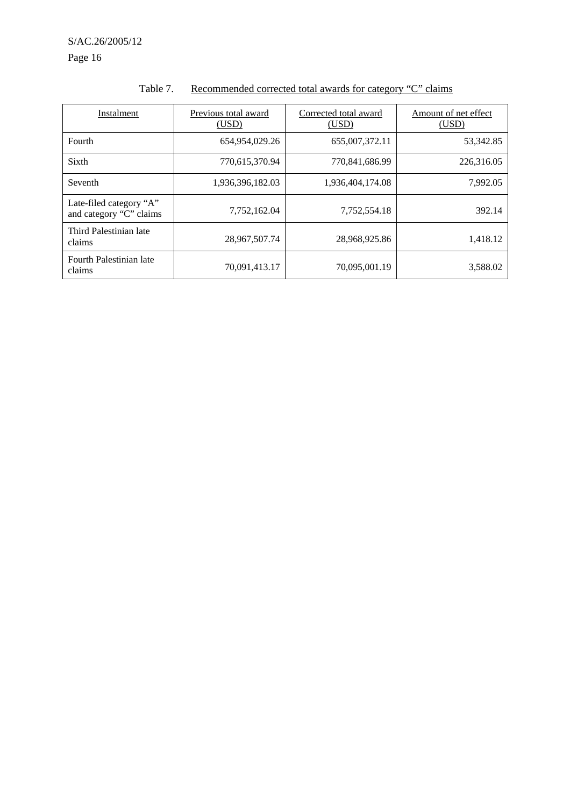Page 16

| Instalment                                         | Previous total award<br>(USD) | Corrected total award<br>(USD) | Amount of net effect<br>(USD) |
|----------------------------------------------------|-------------------------------|--------------------------------|-------------------------------|
| Fourth                                             | 654,954,029.26                | 655,007,372.11                 | 53,342.85                     |
| Sixth                                              | 770,615,370.94                | 770,841,686.99                 | 226,316.05                    |
| Seventh                                            | 1,936,396,182.03              | 1,936,404,174.08               | 7,992.05                      |
| Late-filed category "A"<br>and category "C" claims | 7,752,162.04                  | 7,752,554.18                   | 392.14                        |
| Third Palestinian late<br>claims                   | 28,967,507.74                 | 28,968,925.86                  | 1,418.12                      |
| Fourth Palestinian late<br>claims                  | 70,091,413.17                 | 70,095,001.19                  | 3,588.02                      |

## Table 7. Recommended corrected total awards for category "C" claims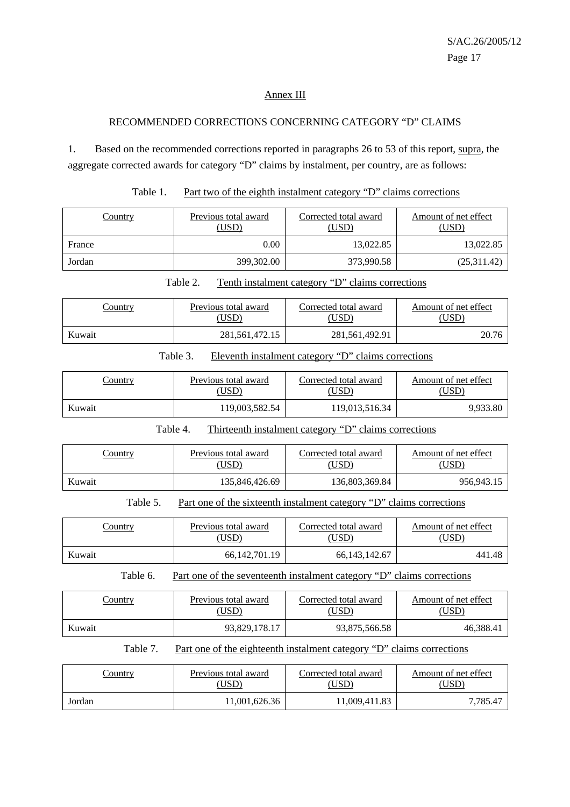٦

#### Annex III

#### RECOMMENDED CORRECTIONS CONCERNING CATEGORY "D" CLAIMS

1. Based on the recommended corrections reported in paragraphs 26 to 53 of this report, supra, the aggregate corrected awards for category "D" claims by instalment, per country, are as follows:

|--|

| Country | Previous total award<br>(USD) | Corrected total award<br>(USD) | Amount of net effect<br>(USD) |
|---------|-------------------------------|--------------------------------|-------------------------------|
| France  | 0.00                          | 13,022.85                      | 13,022.85                     |
| Jordan  | 399,302.00                    | 373,990.58                     | (25,311.42)                   |

|       | Table 2. |                      | Tenth instalment category "D" claims corrections |                  |
|-------|----------|----------------------|--------------------------------------------------|------------------|
| umtrv |          | Previous total award | Corrected total award                            | Amount of net ef |

| <u>Country</u> | Previous total award<br>$USD^{\circ}$ | Corrected total award<br>USD) | Amount of net effect |
|----------------|---------------------------------------|-------------------------------|----------------------|
| Kuwait         | 281, 561, 472. 15                     | 281,561,492.91                |                      |

## Table 3. Eleventh instalment category "D" claims corrections

| Country | Previous total award | Corrected total award | Amount of net effect |
|---------|----------------------|-----------------------|----------------------|
|         | (USD)                | USD)                  | USD)                 |
| Kuwait  | 119.003.582.54       | 119,013,516.34        | 9,933.80             |

## Table 4. Thirteenth instalment category "D" claims corrections

| <u>Country</u> | Previous total award | Corrected total award | Amount of net effect |
|----------------|----------------------|-----------------------|----------------------|
|                | USD)                 | (USD)                 | 'USD                 |
| Kuwait         | 135,846,426.69       | 136,803,369.84        | 956.943.15           |

## Table 5. Part one of the sixteenth instalment category "D" claims corrections

| Previous total award<br><u>Country</u><br>(USD) |                  | Corrected total award<br>USD) | Amount of net effect<br>[USD |
|-------------------------------------------------|------------------|-------------------------------|------------------------------|
| Kuwait                                          | 66, 142, 701. 19 | 66, 143, 142. 67              | 441.48                       |

#### Table 6. Part one of the seventeenth instalment category "D" claims corrections

| Country | Previous total award | Corrected total award | Amount of net effect |
|---------|----------------------|-----------------------|----------------------|
|         | (USD)                | USD)                  | USD)                 |
| Kuwait  | 93,829,178.17        | 93,875,566.58         | 46,388.41            |

## Table 7. Part one of the eighteenth instalment category "D" claims corrections

| Previous total award<br>Country<br>USD). |               | Corrected total award<br>USD <sup>)</sup> | Amount of net effect<br>(USD) |  |
|------------------------------------------|---------------|-------------------------------------------|-------------------------------|--|
| Jordan                                   | 11.001.626.36 | 11,009,411.83                             | 7.785.47                      |  |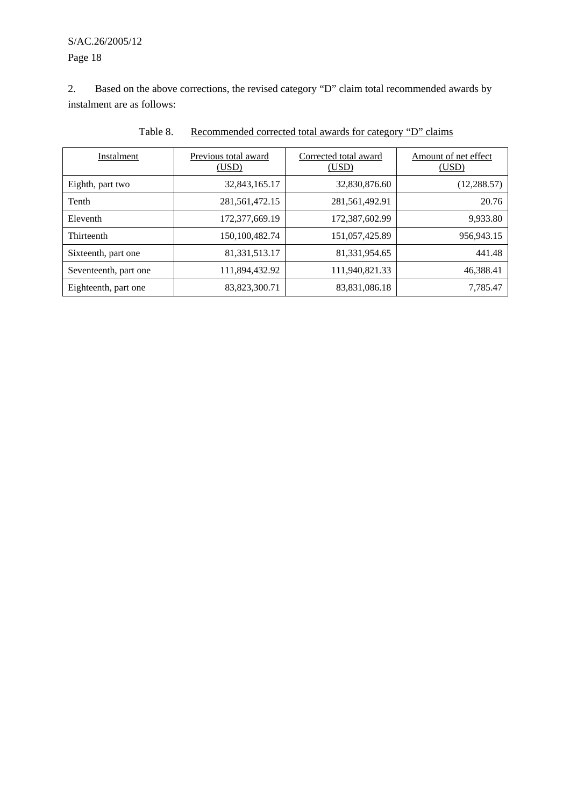## S/AC.26/2005/12 Page 18

2. Based on the above corrections, the revised category "D" claim total recommended awards by instalment are as follows:

| Instalment            | Previous total award<br>(USD) | Corrected total award<br>(USD) | Amount of net effect<br>(USD) |
|-----------------------|-------------------------------|--------------------------------|-------------------------------|
| Eighth, part two      | 32,843,165.17                 | 32,830,876.60                  | (12, 288.57)                  |
| Tenth                 | 281, 561, 472. 15             | 281,561,492.91                 | 20.76                         |
| Eleventh              | 172,377,669.19                | 172,387,602.99                 | 9,933.80                      |
| Thirteenth            | 150,100,482.74                | 151,057,425.89                 | 956,943.15                    |
| Sixteenth, part one   | 81, 331, 513. 17              | 81,331,954.65                  | 441.48                        |
| Seventeenth, part one | 111,894,432.92                | 111,940,821.33                 | 46,388.41                     |
| Eighteenth, part one  | 83, 823, 300. 71              | 83,831,086.18                  | 7,785.47                      |

Table 8. Recommended corrected total awards for category "D" claims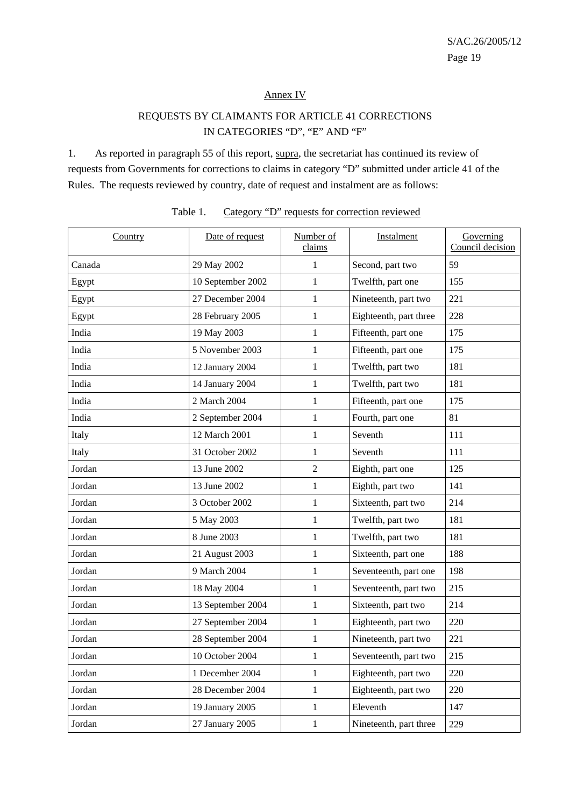#### Annex IV

## REQUESTS BY CLAIMANTS FOR ARTICLE 41 CORRECTIONS IN CATEGORIES "D", "E" AND "F"

1. As reported in paragraph 55 of this report, supra, the secretariat has continued its review of requests from Governments for corrections to claims in category "D" submitted under article 41 of the Rules. The requests reviewed by country, date of request and instalment are as follows:

| <b>Country</b> | Date of request   | Number of<br>claims | Instalment             | Governing<br>Council decision |
|----------------|-------------------|---------------------|------------------------|-------------------------------|
| Canada         | 29 May 2002       | 1                   | Second, part two       | 59                            |
| Egypt          | 10 September 2002 | 1                   | Twelfth, part one      | 155                           |
| Egypt          | 27 December 2004  | 1                   | Nineteenth, part two   | 221                           |
| Egypt          | 28 February 2005  | $\mathbf{1}$        | Eighteenth, part three | 228                           |
| India          | 19 May 2003       | 1                   | Fifteenth, part one    | 175                           |
| India          | 5 November 2003   | 1                   | Fifteenth, part one    | 175                           |
| India          | 12 January 2004   | $\mathbf{1}$        | Twelfth, part two      | 181                           |
| India          | 14 January 2004   | $\mathbf{1}$        | Twelfth, part two      | 181                           |
| India          | 2 March 2004      | $\mathbf{1}$        | Fifteenth, part one    | 175                           |
| India          | 2 September 2004  | $\mathbf{1}$        | Fourth, part one       | 81                            |
| Italy          | 12 March 2001     | 1                   | Seventh                | 111                           |
| Italy          | 31 October 2002   | 1                   | Seventh                | 111                           |
| Jordan         | 13 June 2002      | 2                   | Eighth, part one       | 125                           |
| Jordan         | 13 June 2002      | $\mathbf{1}$        | Eighth, part two       | 141                           |
| Jordan         | 3 October 2002    | 1                   | Sixteenth, part two    | 214                           |
| Jordan         | 5 May 2003        | $\mathbf{1}$        | Twelfth, part two      | 181                           |
| Jordan         | 8 June 2003       | 1                   | Twelfth, part two      | 181                           |
| Jordan         | 21 August 2003    | 1                   | Sixteenth, part one    | 188                           |
| Jordan         | 9 March 2004      | $\mathbf{1}$        | Seventeenth, part one  | 198                           |
| Jordan         | 18 May 2004       | 1                   | Seventeenth, part two  | 215                           |
| Jordan         | 13 September 2004 | $\mathbf{1}$        | Sixteenth, part two    | 214                           |
| Jordan         | 27 September 2004 | $\mathbf{1}$        | Eighteenth, part two   | 220                           |
| Jordan         | 28 September 2004 | $\mathbf{1}$        | Nineteenth, part two   | 221                           |
| Jordan         | 10 October 2004   | 1                   | Seventeenth, part two  | 215                           |
| Jordan         | 1 December 2004   | $\mathbf{1}$        | Eighteenth, part two   | 220                           |
| Jordan         | 28 December 2004  | $\mathbf{1}$        | Eighteenth, part two   | 220                           |
| Jordan         | 19 January 2005   | $\mathbf{1}$        | Eleventh               | 147                           |
| Jordan         | 27 January 2005   | $\mathbf{1}$        | Nineteenth, part three | 229                           |

#### Table 1. Category "D" requests for correction reviewed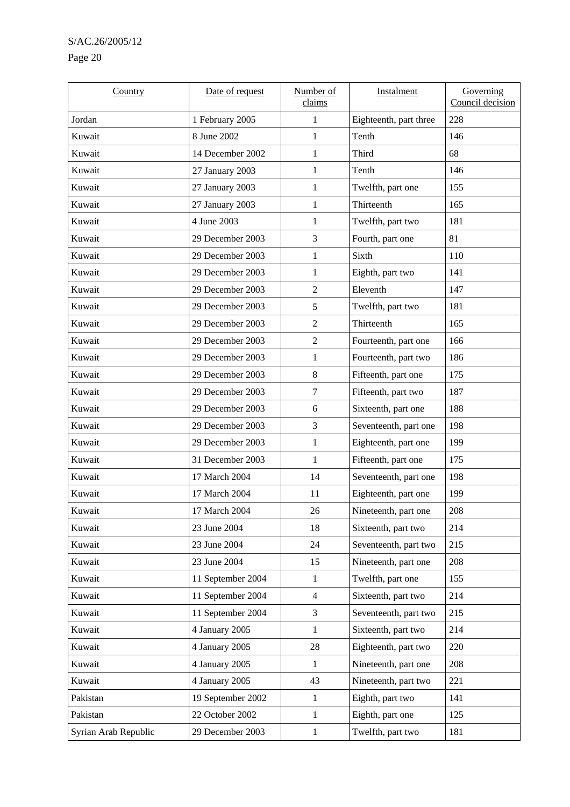## S/AC.26/2005/12

## Page 20

| Country              | Date of request   | Number of<br>claims | Instalment             | Governing<br>Council decision |
|----------------------|-------------------|---------------------|------------------------|-------------------------------|
| Jordan               | 1 February 2005   | 1                   | Eighteenth, part three | 228                           |
| Kuwait               | 8 June 2002       | 1                   | Tenth                  | 146                           |
| Kuwait               | 14 December 2002  | 1                   | Third                  | 68                            |
| Kuwait               | 27 January 2003   | 1                   | Tenth                  | 146                           |
| Kuwait               | 27 January 2003   | 1                   | Twelfth, part one      | 155                           |
| Kuwait               | 27 January 2003   | 1                   | Thirteenth             | 165                           |
| Kuwait               | 4 June 2003       | 1                   | Twelfth, part two      | 181                           |
| Kuwait               | 29 December 2003  | 3                   | Fourth, part one       | 81                            |
| Kuwait               | 29 December 2003  | 1                   | Sixth                  | 110                           |
| Kuwait               | 29 December 2003  | 1                   | Eighth, part two       | 141                           |
| Kuwait               | 29 December 2003  | 2                   | Eleventh               | 147                           |
| Kuwait               | 29 December 2003  | 5                   | Twelfth, part two      | 181                           |
| Kuwait               | 29 December 2003  | $\overline{2}$      | Thirteenth             | 165                           |
| Kuwait               | 29 December 2003  | $\overline{2}$      | Fourteenth, part one   | 166                           |
| Kuwait               | 29 December 2003  | 1                   | Fourteenth, part two   | 186                           |
| Kuwait               | 29 December 2003  | 8                   | Fifteenth, part one    | 175                           |
| Kuwait               | 29 December 2003  | $\tau$              | Fifteenth, part two    | 187                           |
| Kuwait               | 29 December 2003  | 6                   | Sixteenth, part one    | 188                           |
| Kuwait               | 29 December 2003  | 3                   | Seventeenth, part one  | 198                           |
| Kuwait               | 29 December 2003  | 1                   | Eighteenth, part one   | 199                           |
| Kuwait               | 31 December 2003  | 1                   | Fifteenth, part one    | 175                           |
| Kuwait               | 17 March 2004     | 14                  | Seventeenth, part one  | 198                           |
| Kuwait               | 17 March 2004     | 11                  | Eighteenth, part one   | 199                           |
| Kuwait               | 17 March 2004     | 26                  | Nineteenth, part one   | 208                           |
| Kuwait               | 23 June 2004      | 18                  | Sixteenth, part two    | 214                           |
| Kuwait               | 23 June 2004      | 24                  | Seventeenth, part two  | 215                           |
| Kuwait               | 23 June 2004      | 15                  | Nineteenth, part one   | 208                           |
| Kuwait               | 11 September 2004 | $\mathbf{1}$        | Twelfth, part one      | 155                           |
| Kuwait               | 11 September 2004 | $\overline{4}$      | Sixteenth, part two    | 214                           |
| Kuwait               | 11 September 2004 | 3                   | Seventeenth, part two  | 215                           |
| Kuwait               | 4 January 2005    | 1                   | Sixteenth, part two    | 214                           |
| Kuwait               | 4 January 2005    | $28\,$              | Eighteenth, part two   | 220                           |
| Kuwait               | 4 January 2005    | 1                   | Nineteenth, part one   | 208                           |
| Kuwait               | 4 January 2005    | 43                  | Nineteenth, part two   | 221                           |
| Pakistan             | 19 September 2002 | $\mathbf{1}$        | Eighth, part two       | 141                           |
| Pakistan             | 22 October 2002   | $\mathbf{1}$        | Eighth, part one       | 125                           |
| Syrian Arab Republic | 29 December 2003  | 1                   | Twelfth, part two      | 181                           |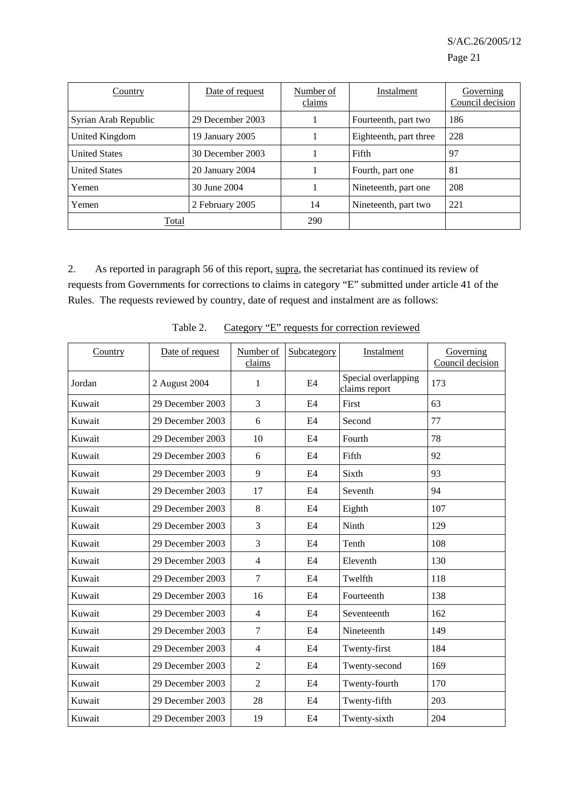| Country              | Date of request  | Number of<br>claims | Instalment             | Governing<br>Council decision |
|----------------------|------------------|---------------------|------------------------|-------------------------------|
| Syrian Arab Republic | 29 December 2003 |                     | Fourteenth, part two   | 186                           |
| United Kingdom       | 19 January 2005  |                     | Eighteenth, part three | 228                           |
| <b>United States</b> | 30 December 2003 |                     | Fifth                  | 97                            |
| <b>United States</b> | 20 January 2004  |                     | Fourth, part one       | 81                            |
| Yemen                | 30 June 2004     |                     | Nineteenth, part one   | 208                           |
| Yemen                | 2 February 2005  | 14                  | Nineteenth, part two   | 221                           |
| Total                |                  | 290                 |                        |                               |

2. As reported in paragraph 56 of this report, supra, the secretariat has continued its review of requests from Governments for corrections to claims in category "E" submitted under article 41 of the Rules. The requests reviewed by country, date of request and instalment are as follows:

| Country | Date of request  | Number of<br>claims | Subcategory    | Instalment                           | Governing<br>Council decision |
|---------|------------------|---------------------|----------------|--------------------------------------|-------------------------------|
| Jordan  | 2 August 2004    | 1                   | E4             | Special overlapping<br>claims report | 173                           |
| Kuwait  | 29 December 2003 | 3                   | E4             | First                                | 63                            |
| Kuwait  | 29 December 2003 | 6                   | E4             | Second                               | 77                            |
| Kuwait  | 29 December 2003 | 10                  | E4             | Fourth                               | 78                            |
| Kuwait  | 29 December 2003 | 6                   | E4             | Fifth                                | 92                            |
| Kuwait  | 29 December 2003 | 9                   | E <sub>4</sub> | Sixth                                | 93                            |
| Kuwait  | 29 December 2003 | 17                  | E4             | Seventh                              | 94                            |
| Kuwait  | 29 December 2003 | 8                   | E4             | Eighth                               | 107                           |
| Kuwait  | 29 December 2003 | 3                   | E4             | Ninth                                | 129                           |
| Kuwait  | 29 December 2003 | 3                   | E4             | Tenth                                | 108                           |
| Kuwait  | 29 December 2003 | $\overline{4}$      | E4             | Eleventh                             | 130                           |
| Kuwait  | 29 December 2003 | $\tau$              | E4             | Twelfth                              | 118                           |
| Kuwait  | 29 December 2003 | 16                  | E4             | Fourteenth                           | 138                           |
| Kuwait  | 29 December 2003 | $\overline{4}$      | E4             | Seventeenth                          | 162                           |
| Kuwait  | 29 December 2003 | 7                   | E4             | Nineteenth                           | 149                           |
| Kuwait  | 29 December 2003 | $\overline{4}$      | E4             | Twenty-first                         | 184                           |
| Kuwait  | 29 December 2003 | $\overline{2}$      | E4             | Twenty-second                        | 169                           |
| Kuwait  | 29 December 2003 | $\overline{2}$      | E4             | Twenty-fourth                        | 170                           |
| Kuwait  | 29 December 2003 | 28                  | E4             | Twenty-fifth                         | 203                           |
| Kuwait  | 29 December 2003 | 19                  | E4             | Twenty-sixth                         | 204                           |

Table 2. Category "E" requests for correction reviewed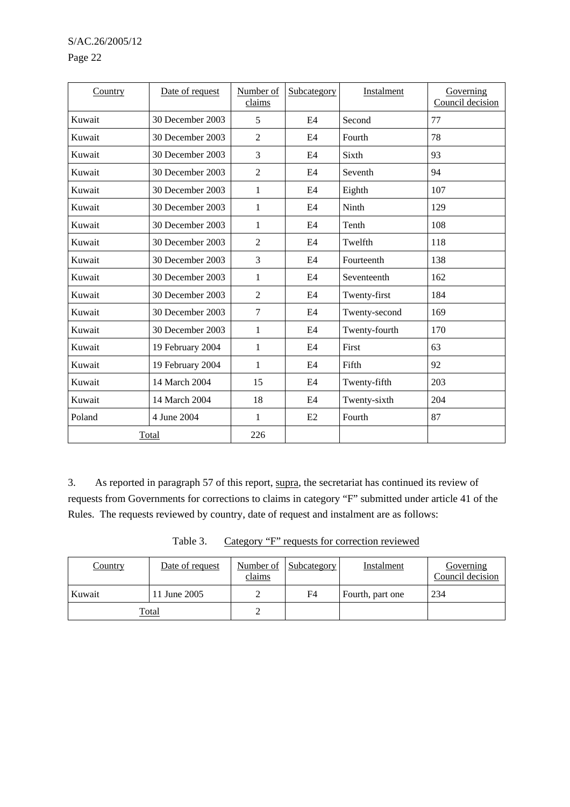#### Page 22

| Country | Date of request  | Number of<br>claims | Subcategory | Instalment    | Governing<br>Council decision |
|---------|------------------|---------------------|-------------|---------------|-------------------------------|
| Kuwait  | 30 December 2003 | 5                   | E4          | Second        | 77                            |
| Kuwait  | 30 December 2003 | 2                   | E4          | Fourth        | 78                            |
| Kuwait  | 30 December 2003 | 3                   | E4          | Sixth         | 93                            |
| Kuwait  | 30 December 2003 | $\overline{2}$      | E4          | Seventh       | 94                            |
| Kuwait  | 30 December 2003 | 1                   | E4          | Eighth        | 107                           |
| Kuwait  | 30 December 2003 | 1                   | E4          | Ninth         | 129                           |
| Kuwait  | 30 December 2003 | 1                   | E4          | Tenth         | 108                           |
| Kuwait  | 30 December 2003 | $\overline{2}$      | E4          | Twelfth       | 118                           |
| Kuwait  | 30 December 2003 | 3                   | E4          | Fourteenth    | 138                           |
| Kuwait  | 30 December 2003 | 1                   | E4          | Seventeenth   | 162                           |
| Kuwait  | 30 December 2003 | $\overline{2}$      | E4          | Twenty-first  | 184                           |
| Kuwait  | 30 December 2003 | 7                   | E4          | Twenty-second | 169                           |
| Kuwait  | 30 December 2003 | 1                   | E4          | Twenty-fourth | 170                           |
| Kuwait  | 19 February 2004 | 1                   | E4          | First         | 63                            |
| Kuwait  | 19 February 2004 | 1                   | E4          | Fifth         | 92                            |
| Kuwait  | 14 March 2004    | 15                  | E4          | Twenty-fifth  | 203                           |
| Kuwait  | 14 March 2004    | 18                  | E4          | Twenty-sixth  | 204                           |
| Poland  | 4 June 2004      | $\mathbf{1}$        | E2          | Fourth        | 87                            |
|         | Total            | 226                 |             |               |                               |

3. As reported in paragraph 57 of this report, supra, the secretariat has continued its review of requests from Governments for corrections to claims in category "F" submitted under article 41 of the Rules. The requests reviewed by country, date of request and instalment are as follows:

| Table 3. |  | Category "F" requests for correction reviewed |  |
|----------|--|-----------------------------------------------|--|
|          |  |                                               |  |

| Country | Date of request | Number of<br>claims | <b>Subcategory</b> | Instalment | Governing<br>Council decision |
|---------|-----------------|---------------------|--------------------|------------|-------------------------------|
| Kuwait  | ∸               | F4                  | Fourth, part one   | 234        |                               |
|         | <u>Total</u>    | ∸                   |                    |            |                               |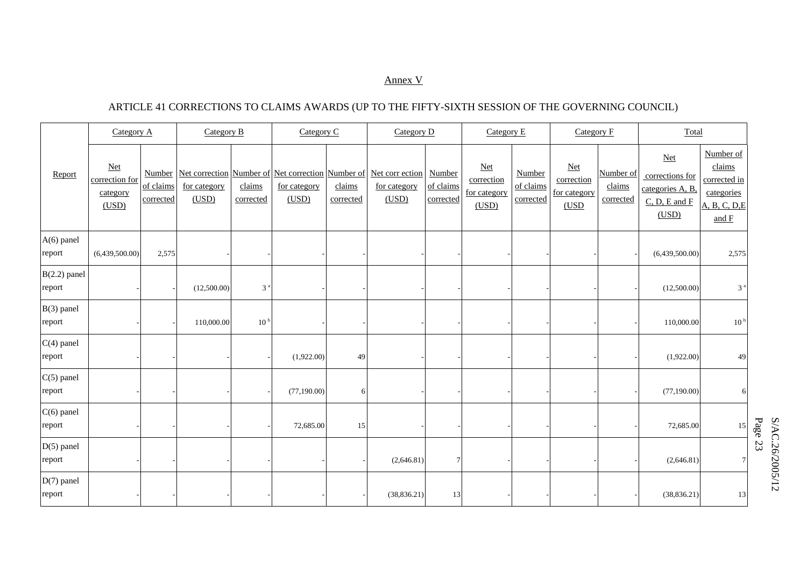#### Annex V

## ARTICLE 41 CORRECTIONS TO CLAIMS AWARDS (UP TO THE FIFTY-SIXTH SESSION OF THE GOVERNING COUNCIL)

|                          | Category A<br>Category B                     |                                  |                       | Category C          |                                                                            | Category D          |                                          | Category $E$                     |                                              | Category F                       |                                              | Total                            |                                                                            |                                                                             |
|--------------------------|----------------------------------------------|----------------------------------|-----------------------|---------------------|----------------------------------------------------------------------------|---------------------|------------------------------------------|----------------------------------|----------------------------------------------|----------------------------------|----------------------------------------------|----------------------------------|----------------------------------------------------------------------------|-----------------------------------------------------------------------------|
| Report                   | $Net$<br>correction for<br>category<br>(USD) | Number<br>of claims<br>corrected | for category<br>(USD) | claims<br>corrected | Net correction Number of Net correction Number of<br>for category<br>(USD) | claims<br>corrected | Net corr ection<br>for category<br>(USD) | Number<br>of claims<br>corrected | $Net$<br>correction<br>for category<br>(USD) | Number<br>of claims<br>corrected | $Net$<br>correction<br>for category<br>(USD) | Number of<br>claims<br>corrected | $Net$<br>corrections for<br>categories A, B,<br>$C, D, E$ and $F$<br>(USD) | Number of<br>claims<br>corrected in<br>categories<br>A, B, C, D, E<br>and F |
| $A(6)$ panel<br>report   | (6,439,500.00)                               | 2,575                            |                       |                     |                                                                            |                     |                                          |                                  |                                              |                                  |                                              |                                  | (6,439,500.00)                                                             | 2,575                                                                       |
| $B(2.2)$ panel<br>report |                                              |                                  | (12,500.00)           | 3 <sup>a</sup>      |                                                                            |                     |                                          |                                  |                                              |                                  |                                              |                                  | (12,500.00)                                                                | $3$ $^{\rm a}$                                                              |
| $B(3)$ panel<br>report   |                                              |                                  | 110,000.00            | 10 <sup>b</sup>     |                                                                            |                     |                                          |                                  |                                              |                                  |                                              |                                  | 110,000.00                                                                 | 10 <sup>b</sup>                                                             |
| $C(4)$ panel<br>report   |                                              |                                  |                       |                     | (1,922.00)                                                                 | 49                  |                                          |                                  |                                              |                                  |                                              |                                  | (1,922.00)                                                                 | 49                                                                          |
| $C(5)$ panel<br>report   |                                              |                                  |                       |                     | (77, 190.00)                                                               | 6                   |                                          |                                  |                                              |                                  |                                              |                                  | (77,190.00)                                                                | 6                                                                           |
| $C(6)$ panel<br>report   |                                              |                                  |                       |                     | 72,685.00                                                                  | 15                  |                                          |                                  |                                              |                                  |                                              |                                  | 72,685.00                                                                  | 15                                                                          |
| $D(5)$ panel<br>report   |                                              |                                  |                       |                     |                                                                            |                     | (2,646.81)                               | $\overline{7}$                   |                                              |                                  |                                              |                                  | (2,646.81)                                                                 | 7 <sup>1</sup>                                                              |
| $D(7)$ panel<br>report   |                                              |                                  |                       |                     |                                                                            |                     | (38, 836.21)                             | 13                               |                                              |                                  |                                              |                                  | (38, 836.21)                                                               | $13\,$                                                                      |

 $S/AC.26/2005/12$ <br>Page 23 S/AC.26/2005/12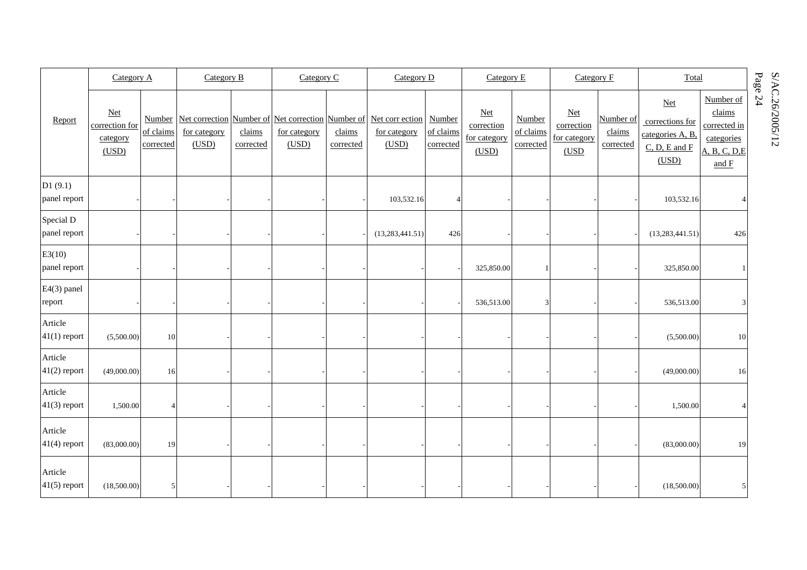|                           |                                              | Category A<br>Category B |                       |                     | Category C            |                     | Category D                                                                                              |                        | Category E                                        |                                  | Category F                                        |                                  | Total                                                                      |                                                                             |         |                 |
|---------------------------|----------------------------------------------|--------------------------|-----------------------|---------------------|-----------------------|---------------------|---------------------------------------------------------------------------------------------------------|------------------------|---------------------------------------------------|----------------------------------|---------------------------------------------------|----------------------------------|----------------------------------------------------------------------------|-----------------------------------------------------------------------------|---------|-----------------|
| Report                    | $Net$<br>correction for<br>category<br>(USD) | of claims<br>corrected   | for category<br>(USD) | claims<br>corrected | for category<br>(USD) | claims<br>corrected | Number Net correction Number of Net correction Number of Net correction Number<br>for category<br>(USD) | of claims<br>corrected | <b>Net</b><br>correction<br>for category<br>(USD) | Number<br>of claims<br>corrected | <b>Net</b><br>correction<br>for category<br>(USD) | Number of<br>claims<br>corrected | $Net$<br>corrections for<br>categories A, B,<br>$C, D, E$ and $F$<br>(USD) | Number of<br>claims<br>corrected in<br>categories<br>A, B, C, D, E<br>and F | Page 24 | S/AC.26/2005/12 |
| DI(9.1)<br>panel report   |                                              |                          |                       |                     |                       |                     | 103,532.16                                                                                              | $\overline{4}$         |                                                   |                                  |                                                   |                                  | 103,532.16                                                                 |                                                                             |         |                 |
| Special D<br>panel report |                                              |                          |                       |                     |                       |                     | (13, 283, 441.51)                                                                                       | 426                    |                                                   |                                  |                                                   |                                  | (13, 283, 441.51)                                                          | 426                                                                         |         |                 |
| E3(10)<br>panel report    |                                              |                          |                       |                     |                       |                     |                                                                                                         |                        | 325,850.00                                        |                                  |                                                   |                                  | 325,850.00                                                                 |                                                                             |         |                 |
| E4(3) panel<br>report     |                                              |                          |                       |                     |                       |                     |                                                                                                         |                        | 536,513.00                                        | 3                                |                                                   |                                  | 536,513.00                                                                 | 3                                                                           |         |                 |
| Article<br>$41(1)$ report | (5,500.00)                                   | 10                       |                       |                     |                       |                     |                                                                                                         |                        |                                                   |                                  |                                                   |                                  | (5,500.00)                                                                 | 10                                                                          |         |                 |
| Article<br>$41(2)$ report | (49,000.00)                                  | 16                       |                       |                     |                       |                     |                                                                                                         |                        |                                                   |                                  |                                                   |                                  | (49,000.00)                                                                | 16                                                                          |         |                 |
| Article<br>$41(3)$ report | 1,500.00                                     |                          |                       |                     |                       |                     |                                                                                                         |                        |                                                   |                                  |                                                   |                                  | 1,500.00                                                                   |                                                                             |         |                 |
| Article<br>$41(4)$ report | (83,000.00)                                  | 19                       |                       |                     |                       |                     |                                                                                                         |                        |                                                   |                                  |                                                   |                                  | (83,000.00)                                                                | 19                                                                          |         |                 |
| Article<br>$41(5)$ report | (18,500.00)                                  | $\mathfrak{S}$           |                       |                     |                       |                     |                                                                                                         |                        |                                                   |                                  |                                                   |                                  | (18,500.00)                                                                | 5                                                                           |         |                 |

 $S/AC.26/2005/12$ <br>Page 24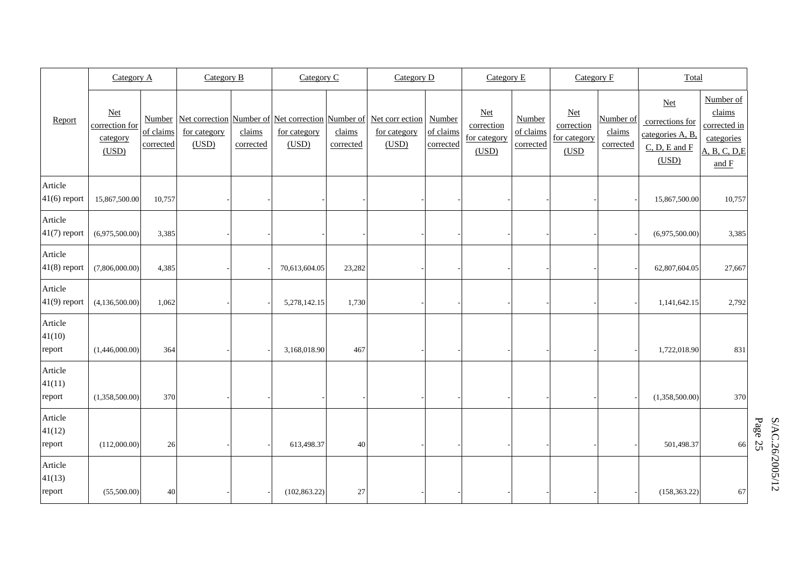|                             | Category A                                   |                        | Category B            |                     | Category C            |                     | Category D                                                                                        |                                  | Category E                                   |                                  | Category F                                   |                                  | Total                                                                      |                                                                               |
|-----------------------------|----------------------------------------------|------------------------|-----------------------|---------------------|-----------------------|---------------------|---------------------------------------------------------------------------------------------------|----------------------------------|----------------------------------------------|----------------------------------|----------------------------------------------|----------------------------------|----------------------------------------------------------------------------|-------------------------------------------------------------------------------|
| Report                      | $Net$<br>correction for<br>category<br>(USD) | of claims<br>corrected | for category<br>(USD) | claims<br>corrected | for category<br>(USD) | claims<br>corrected | Number Net correction Number of Net correction Number of Net corr ection<br>for category<br>(USD) | Number<br>of claims<br>corrected | $Net$<br>correction<br>for category<br>(USD) | Number<br>of claims<br>corrected | $Net$<br>correction<br>for category<br>(USD) | Number of<br>claims<br>corrected | $Net$<br>corrections for<br>categories A, B,<br>$C, D, E$ and $F$<br>(USD) | Number of<br>claims<br>corrected in<br>categories<br>A, B, C, D, E<br>and $F$ |
| Article<br>$41(6)$ report   | 15,867,500.00                                | 10,757                 |                       |                     |                       |                     |                                                                                                   |                                  |                                              |                                  |                                              |                                  | 15,867,500.00                                                              | 10,757                                                                        |
| Article<br>$41(7)$ report   | (6,975,500.00)                               | 3,385                  |                       |                     |                       |                     |                                                                                                   |                                  |                                              |                                  |                                              |                                  | (6,975,500.00)                                                             | 3,385                                                                         |
| Article<br>$41(8)$ report   | (7,806,000.00)                               | 4,385                  |                       |                     | 70,613,604.05         | 23,282              |                                                                                                   |                                  |                                              |                                  |                                              |                                  | 62,807,604.05                                                              | 27,667                                                                        |
| Article<br>$41(9)$ report   | (4,136,500.00)                               | 1,062                  |                       |                     | 5,278,142.15          | 1,730               |                                                                                                   |                                  |                                              |                                  |                                              |                                  | 1,141,642.15                                                               | 2,792                                                                         |
| Article<br>41(10)<br>report | (1,446,000.00)                               | 364                    |                       |                     | 3,168,018.90          | 467                 |                                                                                                   |                                  |                                              |                                  |                                              |                                  | 1,722,018.90                                                               | 831                                                                           |
| Article<br>41(11)<br>report | (1,358,500.00)                               | 370                    |                       |                     |                       |                     |                                                                                                   |                                  |                                              |                                  |                                              |                                  | (1,358,500.00)                                                             | 370                                                                           |
| Article<br>41(12)<br>report | (112,000.00)                                 | 26                     |                       |                     | 613,498.37            | 40                  |                                                                                                   |                                  |                                              |                                  |                                              |                                  | 501,498.37                                                                 | 66                                                                            |
| Article<br>41(13)<br>report | (55,500.00)                                  | 40                     |                       |                     | (102, 863.22)         | 27                  |                                                                                                   |                                  |                                              |                                  |                                              |                                  | (158, 363.22)                                                              | 67                                                                            |

 $S/AC.26/2005/12$ <br>Page 25 S/AC.26/2005/12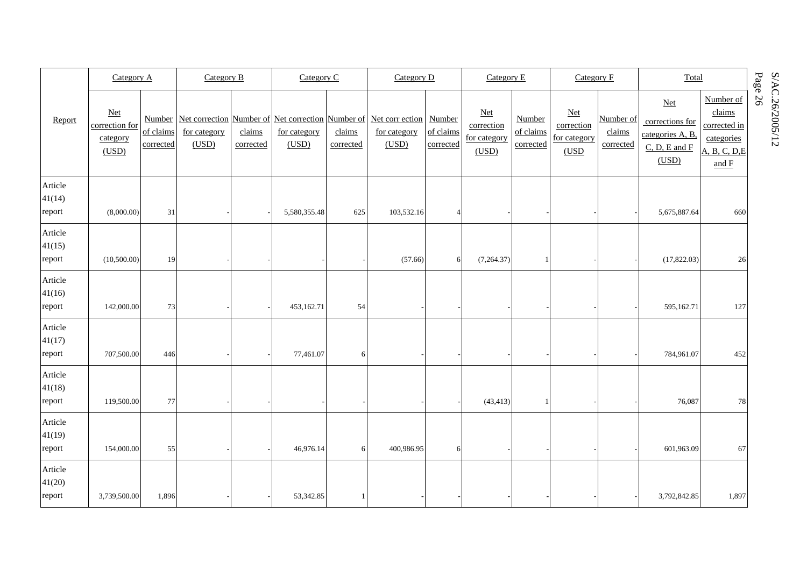|                             | Category A                                        |                        | Category B            |                     | Category C            |                     | Category D                                                                                        |                                  | Category E                                        |                                  | Category F                                   |                                  | Total                                                                           |                                                                              | Page                  |
|-----------------------------|---------------------------------------------------|------------------------|-----------------------|---------------------|-----------------------|---------------------|---------------------------------------------------------------------------------------------------|----------------------------------|---------------------------------------------------|----------------------------------|----------------------------------------------|----------------------------------|---------------------------------------------------------------------------------|------------------------------------------------------------------------------|-----------------------|
| Report                      | <b>Net</b><br>correction for<br>category<br>(USD) | of claims<br>corrected | for category<br>(USD) | claims<br>corrected | for category<br>(USD) | claims<br>corrected | Number Net correction Number of Net correction Number of Net corr ection<br>for category<br>(USD) | Number<br>of claims<br>corrected | <b>Net</b><br>correction<br>for category<br>(USD) | Number<br>of claims<br>corrected | $Net$<br>correction<br>for category<br>(USD) | Number of<br>claims<br>corrected | <b>Net</b><br>corrections for<br>categories A, B,<br>$C, D, E$ and $F$<br>(USD) | Number of<br>claims<br>corrected in<br>categories<br>A, B, C, D.E<br>and $F$ | S/AC.26/2005/12<br>56 |
| Article<br>41(14)<br>report | (8,000.00)                                        | 31                     |                       |                     | 5,580,355.48          | 625                 | 103,532.16                                                                                        | $\vert$                          |                                                   |                                  |                                              |                                  | 5,675,887.64                                                                    | 660                                                                          |                       |
| Article<br>41(15)<br>report | (10,500.00)                                       | 19                     |                       |                     |                       |                     | (57.66)                                                                                           | 6                                | (7,264.37)                                        | $\mathbf{1}$                     |                                              |                                  | (17,822.03)                                                                     | 26                                                                           |                       |
| Article<br>41(16)<br>report | 142,000.00                                        | 73                     |                       |                     | 453,162.71            | 54                  |                                                                                                   |                                  |                                                   |                                  |                                              |                                  | 595,162.71                                                                      | 127                                                                          |                       |
| Article<br>41(17)<br>report | 707,500.00                                        | 446                    |                       |                     | 77,461.07             | 6                   |                                                                                                   |                                  |                                                   |                                  |                                              |                                  | 784,961.07                                                                      | 452                                                                          |                       |
| Article<br>41(18)<br>report | 119,500.00                                        | 77                     |                       |                     |                       |                     |                                                                                                   |                                  | (43, 413)                                         |                                  |                                              |                                  | 76,087                                                                          | 78                                                                           |                       |
| Article<br>41(19)<br>report | 154,000.00                                        | 55                     |                       |                     | 46,976.14             | $6 \mid$            | 400,986.95                                                                                        | 6 <sup>1</sup>                   |                                                   |                                  |                                              |                                  | 601,963.09                                                                      | 67                                                                           |                       |
| Article<br>41(20)<br>report | 3,739,500.00                                      | 1,896                  |                       |                     | 53,342.85             |                     |                                                                                                   |                                  |                                                   |                                  |                                              |                                  | 3,792,842.85                                                                    | 1,897                                                                        |                       |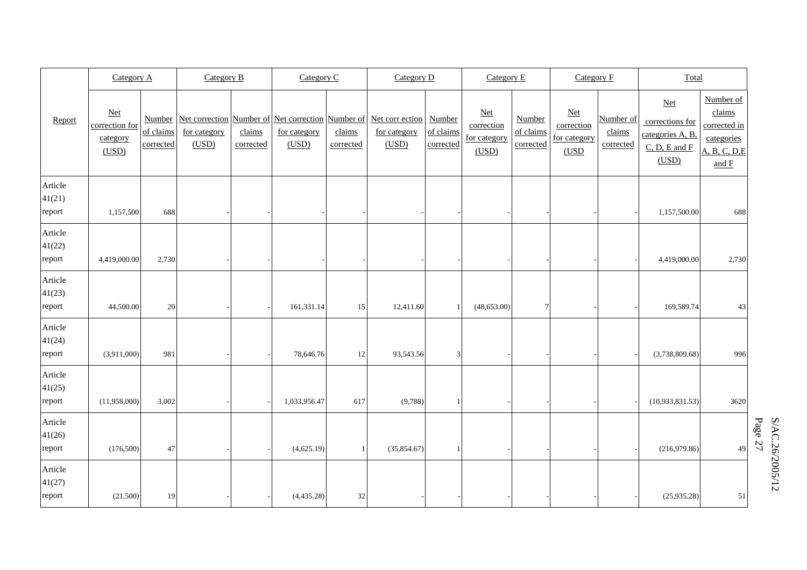|                             | Category A                                        |                                  | Category B            |                     | Category C            |                     | Category D                                                                                 |                                  | Category E                                        |                                  | Category F                                        |                                  | Total                                                                      |                                                                             |
|-----------------------------|---------------------------------------------------|----------------------------------|-----------------------|---------------------|-----------------------|---------------------|--------------------------------------------------------------------------------------------|----------------------------------|---------------------------------------------------|----------------------------------|---------------------------------------------------|----------------------------------|----------------------------------------------------------------------------|-----------------------------------------------------------------------------|
| Report                      | <b>Net</b><br>correction for<br>category<br>(USD) | Number<br>of claims<br>corrected | for category<br>(USD) | claims<br>corrected | for category<br>(USD) | claims<br>corrected | Net correction Number of Net correction Number of Net corr ection<br>for category<br>(USD) | Number<br>of claims<br>corrected | <b>Net</b><br>correction<br>for category<br>(USD) | Number<br>of claims<br>corrected | <b>Net</b><br>correction<br>for category<br>(USD) | Number of<br>claims<br>corrected | $Net$<br>corrections for<br>categories A, B,<br>$C, D, E$ and $F$<br>(USD) | Number of<br>claims<br>corrected in<br>categories<br>A, B, C, D, E<br>and F |
| Article<br>41(21)<br>report | 1,157,500                                         | 688                              |                       |                     |                       |                     |                                                                                            |                                  |                                                   |                                  |                                                   |                                  | 1,157,500.00                                                               | 688                                                                         |
| Article<br>41(22)<br>report | 4,419,000.00                                      | 2,730                            |                       |                     |                       |                     |                                                                                            |                                  |                                                   |                                  |                                                   |                                  | 4,419,000.00                                                               | 2,730                                                                       |
| Article<br>41(23)<br>report | 44,500.00                                         | 20                               |                       |                     | 161,331.14            | 15                  | 12,411.60                                                                                  | $\mathbf{1}$                     | (48, 653.00)                                      | 7 <sup>1</sup>                   |                                                   |                                  | 169,589.74                                                                 | 43                                                                          |
| Article<br>41(24)<br>report | (3,911,000)                                       | 981                              |                       |                     | 78,646.76             | 12                  | 93,543.56                                                                                  | 3                                |                                                   |                                  |                                                   |                                  | (3,738,809.68)                                                             | 996                                                                         |
| Article<br>41(25)<br>report | (11,958,000)                                      | 3,002                            |                       |                     | 1,033,956.47          | 617                 | (9,788)                                                                                    | 1                                |                                                   |                                  |                                                   |                                  | (10,933,831.53)                                                            | 3620                                                                        |
| Article<br>41(26)<br>report | (176,500)                                         | 47                               |                       |                     | (4,625.19)            |                     | (35,854.67)                                                                                |                                  |                                                   |                                  |                                                   |                                  | (216,979.86)                                                               | 49                                                                          |
| Article<br>41(27)<br>report | (21,500)                                          | 19                               |                       |                     | (4,435.28)            | 32                  |                                                                                            |                                  |                                                   |                                  |                                                   |                                  | (25,935.28)                                                                | 51                                                                          |

 $S/AC.26/2005/12$ <br>Page 27 S/AC.26/2005/12